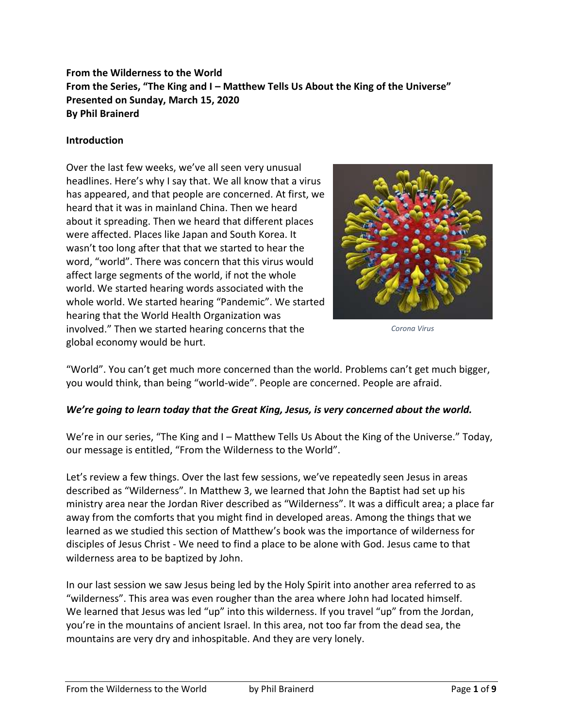# **From the Wilderness to the World From the Series, "The King and I – Matthew Tells Us About the King of the Universe" Presented on Sunday, March 15, 2020 By Phil Brainerd**

#### **Introduction**

Over the last few weeks, we've all seen very unusual headlines. Here's why I say that. We all know that a virus has appeared, and that people are concerned. At first, we heard that it was in mainland China. Then we heard about it spreading. Then we heard that different places were affected. Places like Japan and South Korea. It wasn't too long after that that we started to hear the word, "world". There was concern that this virus would affect large segments of the world, if not the whole world. We started hearing words associated with the whole world. We started hearing "Pandemic". We started hearing that the World Health Organization was involved." Then we started hearing concerns that the global economy would be hurt.



*Corona Virus*

"World". You can't get much more concerned than the world. Problems can't get much bigger, you would think, than being "world-wide". People are concerned. People are afraid.

### *We're going to learn today that the Great King, Jesus, is very concerned about the world.*

We're in our series, "The King and I – Matthew Tells Us About the King of the Universe." Today, our message is entitled, "From the Wilderness to the World".

Let's review a few things. Over the last few sessions, we've repeatedly seen Jesus in areas described as "Wilderness". In Matthew 3, we learned that John the Baptist had set up his ministry area near the Jordan River described as "Wilderness". It was a difficult area; a place far away from the comforts that you might find in developed areas. Among the things that we learned as we studied this section of Matthew's book was the importance of wilderness for disciples of Jesus Christ - We need to find a place to be alone with God. Jesus came to that wilderness area to be baptized by John.

In our last session we saw Jesus being led by the Holy Spirit into another area referred to as "wilderness". This area was even rougher than the area where John had located himself. We learned that Jesus was led "up" into this wilderness. If you travel "up" from the Jordan, you're in the mountains of ancient Israel. In this area, not too far from the dead sea, the mountains are very dry and inhospitable. And they are very lonely.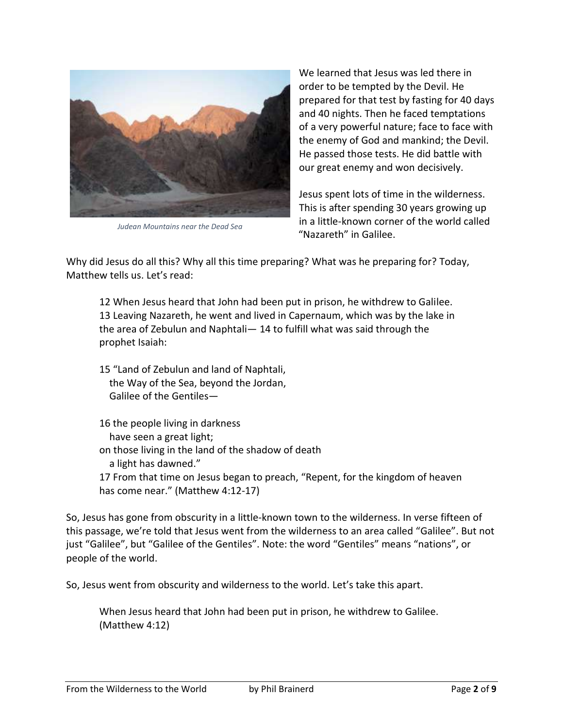

*Judean Mountains near the Dead Sea*

We learned that Jesus was led there in order to be tempted by the Devil. He prepared for that test by fasting for 40 days and 40 nights. Then he faced temptations of a very powerful nature; face to face with the enemy of God and mankind; the Devil. He passed those tests. He did battle with our great enemy and won decisively.

Jesus spent lots of time in the wilderness. This is after spending 30 years growing up in a little-known corner of the world called "Nazareth" in Galilee.

Why did Jesus do all this? Why all this time preparing? What was he preparing for? Today, Matthew tells us. Let's read:

12 When Jesus heard that John had been put in prison, he withdrew to Galilee. 13 Leaving Nazareth, he went and lived in Capernaum, which was by the lake in the area of Zebulun and Naphtali— 14 to fulfill what was said through the prophet Isaiah:

15 "Land of Zebulun and land of Naphtali, the Way of the Sea, beyond the Jordan, Galilee of the Gentiles—

16 the people living in darkness have seen a great light; on those living in the land of the shadow of death a light has dawned." 17 From that time on Jesus began to preach, "Repent, for the kingdom of heaven has come near." (Matthew 4:12-17)

So, Jesus has gone from obscurity in a little-known town to the wilderness. In verse fifteen of this passage, we're told that Jesus went from the wilderness to an area called "Galilee". But not just "Galilee", but "Galilee of the Gentiles". Note: the word "Gentiles" means "nations", or people of the world.

So, Jesus went from obscurity and wilderness to the world. Let's take this apart.

When Jesus heard that John had been put in prison, he withdrew to Galilee. (Matthew 4:12)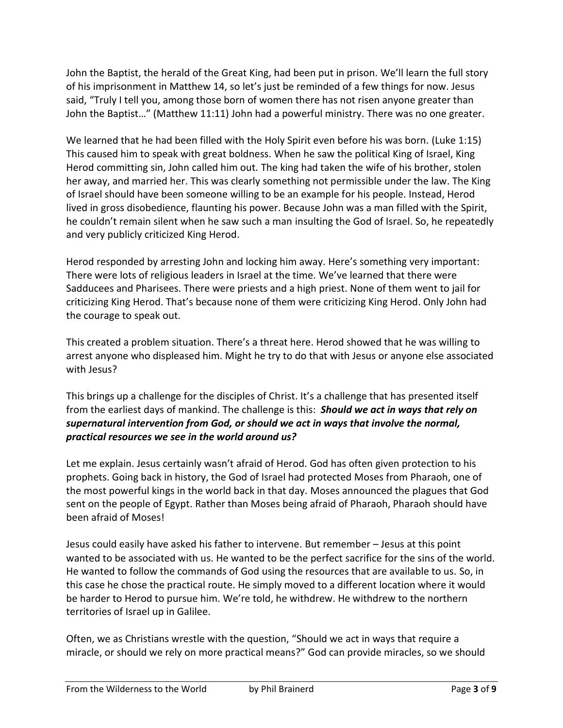John the Baptist, the herald of the Great King, had been put in prison. We'll learn the full story of his imprisonment in Matthew 14, so let's just be reminded of a few things for now. Jesus said, "Truly I tell you, among those born of women there has not risen anyone greater than John the Baptist…" (Matthew 11:11) John had a powerful ministry. There was no one greater.

We learned that he had been filled with the Holy Spirit even before his was born. (Luke 1:15) This caused him to speak with great boldness. When he saw the political King of Israel, King Herod committing sin, John called him out. The king had taken the wife of his brother, stolen her away, and married her. This was clearly something not permissible under the law. The King of Israel should have been someone willing to be an example for his people. Instead, Herod lived in gross disobedience, flaunting his power. Because John was a man filled with the Spirit, he couldn't remain silent when he saw such a man insulting the God of Israel. So, he repeatedly and very publicly criticized King Herod.

Herod responded by arresting John and locking him away. Here's something very important: There were lots of religious leaders in Israel at the time. We've learned that there were Sadducees and Pharisees. There were priests and a high priest. None of them went to jail for criticizing King Herod. That's because none of them were criticizing King Herod. Only John had the courage to speak out.

This created a problem situation. There's a threat here. Herod showed that he was willing to arrest anyone who displeased him. Might he try to do that with Jesus or anyone else associated with Jesus?

This brings up a challenge for the disciples of Christ. It's a challenge that has presented itself from the earliest days of mankind. The challenge is this: *Should we act in ways that rely on supernatural intervention from God, or should we act in ways that involve the normal, practical resources we see in the world around us?*

Let me explain. Jesus certainly wasn't afraid of Herod. God has often given protection to his prophets. Going back in history, the God of Israel had protected Moses from Pharaoh, one of the most powerful kings in the world back in that day. Moses announced the plagues that God sent on the people of Egypt. Rather than Moses being afraid of Pharaoh, Pharaoh should have been afraid of Moses!

Jesus could easily have asked his father to intervene. But remember – Jesus at this point wanted to be associated with us. He wanted to be the perfect sacrifice for the sins of the world. He wanted to follow the commands of God using the resources that are available to us. So, in this case he chose the practical route. He simply moved to a different location where it would be harder to Herod to pursue him. We're told, he withdrew. He withdrew to the northern territories of Israel up in Galilee.

Often, we as Christians wrestle with the question, "Should we act in ways that require a miracle, or should we rely on more practical means?" God can provide miracles, so we should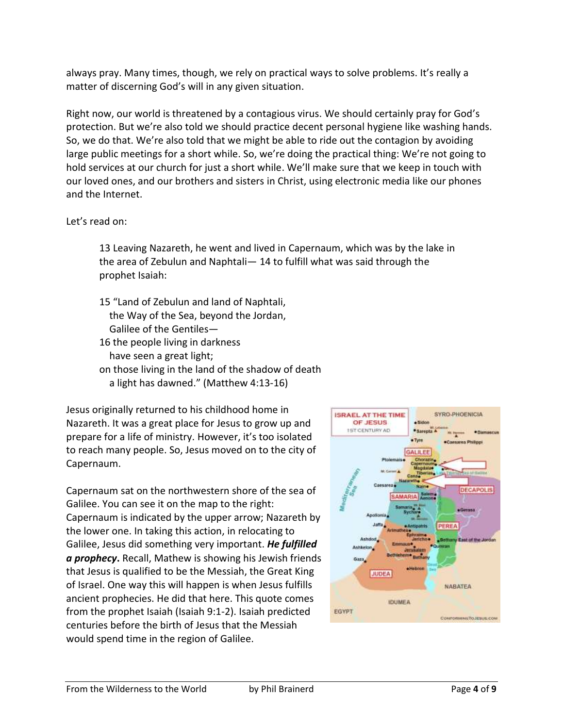always pray. Many times, though, we rely on practical ways to solve problems. It's really a matter of discerning God's will in any given situation.

Right now, our world is threatened by a contagious virus. We should certainly pray for God's protection. But we're also told we should practice decent personal hygiene like washing hands. So, we do that. We're also told that we might be able to ride out the contagion by avoiding large public meetings for a short while. So, we're doing the practical thing: We're not going to hold services at our church for just a short while. We'll make sure that we keep in touch with our loved ones, and our brothers and sisters in Christ, using electronic media like our phones and the Internet.

### Let's read on:

13 Leaving Nazareth, he went and lived in Capernaum, which was by the lake in the area of Zebulun and Naphtali— 14 to fulfill what was said through the prophet Isaiah:

15 "Land of Zebulun and land of Naphtali, the Way of the Sea, beyond the Jordan, Galilee of the Gentiles— 16 the people living in darkness have seen a great light; on those living in the land of the shadow of death a light has dawned." (Matthew 4:13-16)

Jesus originally returned to his childhood home in Nazareth. It was a great place for Jesus to grow up and prepare for a life of ministry. However, it's too isolated to reach many people. So, Jesus moved on to the city of Capernaum.

Capernaum sat on the northwestern shore of the sea of Galilee. You can see it on the map to the right: Capernaum is indicated by the upper arrow; Nazareth by the lower one. In taking this action, in relocating to Galilee, Jesus did something very important. *He fulfilled a prophecy***.** Recall, Mathew is showing his Jewish friends that Jesus is qualified to be the Messiah, the Great King of Israel. One way this will happen is when Jesus fulfills ancient prophecies. He did that here. This quote comes from the prophet Isaiah (Isaiah 9:1-2). Isaiah predicted centuries before the birth of Jesus that the Messiah would spend time in the region of Galilee.

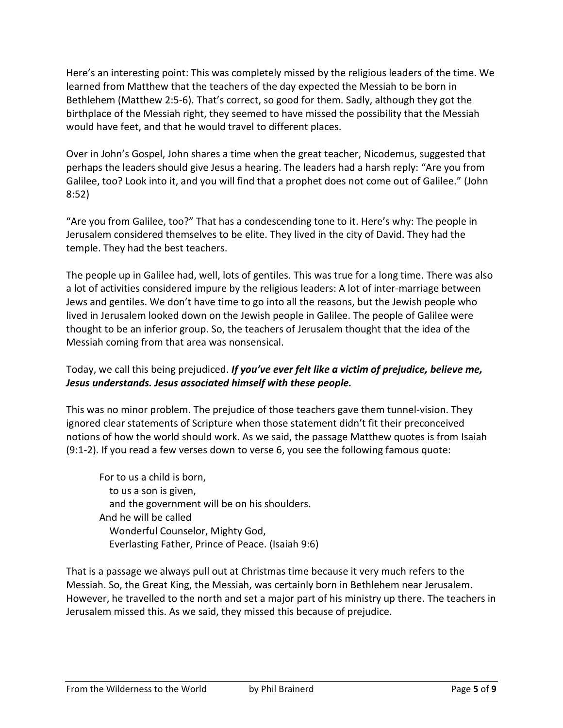Here's an interesting point: This was completely missed by the religious leaders of the time. We learned from Matthew that the teachers of the day expected the Messiah to be born in Bethlehem (Matthew 2:5-6). That's correct, so good for them. Sadly, although they got the birthplace of the Messiah right, they seemed to have missed the possibility that the Messiah would have feet, and that he would travel to different places.

Over in John's Gospel, John shares a time when the great teacher, Nicodemus, suggested that perhaps the leaders should give Jesus a hearing. The leaders had a harsh reply: "Are you from Galilee, too? Look into it, and you will find that a prophet does not come out of Galilee." (John 8:52)

"Are you from Galilee, too?" That has a condescending tone to it. Here's why: The people in Jerusalem considered themselves to be elite. They lived in the city of David. They had the temple. They had the best teachers.

The people up in Galilee had, well, lots of gentiles. This was true for a long time. There was also a lot of activities considered impure by the religious leaders: A lot of inter-marriage between Jews and gentiles. We don't have time to go into all the reasons, but the Jewish people who lived in Jerusalem looked down on the Jewish people in Galilee. The people of Galilee were thought to be an inferior group. So, the teachers of Jerusalem thought that the idea of the Messiah coming from that area was nonsensical.

# Today, we call this being prejudiced. *If you've ever felt like a victim of prejudice, believe me, Jesus understands. Jesus associated himself with these people.*

This was no minor problem. The prejudice of those teachers gave them tunnel-vision. They ignored clear statements of Scripture when those statement didn't fit their preconceived notions of how the world should work. As we said, the passage Matthew quotes is from Isaiah (9:1-2). If you read a few verses down to verse 6, you see the following famous quote:

For to us a child is born, to us a son is given, and the government will be on his shoulders. And he will be called Wonderful Counselor, Mighty God, Everlasting Father, Prince of Peace. (Isaiah 9:6)

That is a passage we always pull out at Christmas time because it very much refers to the Messiah. So, the Great King, the Messiah, was certainly born in Bethlehem near Jerusalem. However, he travelled to the north and set a major part of his ministry up there. The teachers in Jerusalem missed this. As we said, they missed this because of prejudice.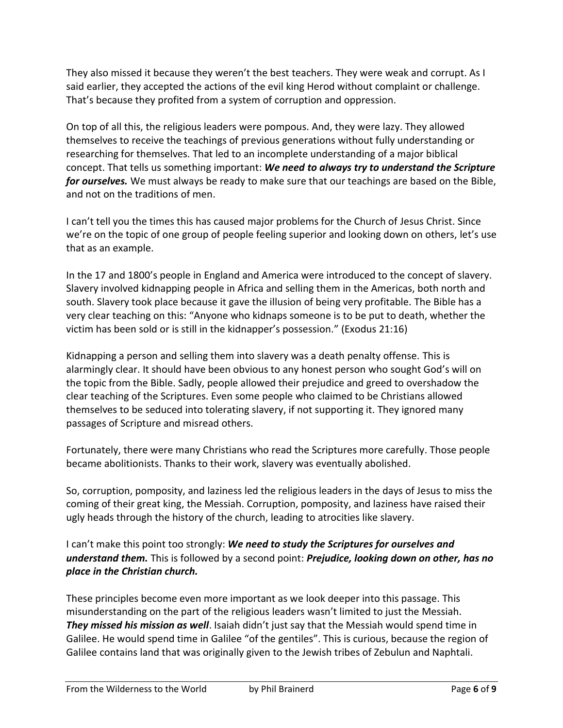They also missed it because they weren't the best teachers. They were weak and corrupt. As I said earlier, they accepted the actions of the evil king Herod without complaint or challenge. That's because they profited from a system of corruption and oppression.

On top of all this, the religious leaders were pompous. And, they were lazy. They allowed themselves to receive the teachings of previous generations without fully understanding or researching for themselves. That led to an incomplete understanding of a major biblical concept. That tells us something important: *We need to always try to understand the Scripture for ourselves.* We must always be ready to make sure that our teachings are based on the Bible, and not on the traditions of men.

I can't tell you the times this has caused major problems for the Church of Jesus Christ. Since we're on the topic of one group of people feeling superior and looking down on others, let's use that as an example.

In the 17 and 1800's people in England and America were introduced to the concept of slavery. Slavery involved kidnapping people in Africa and selling them in the Americas, both north and south. Slavery took place because it gave the illusion of being very profitable. The Bible has a very clear teaching on this: "Anyone who kidnaps someone is to be put to death, whether the victim has been sold or is still in the kidnapper's possession." (Exodus 21:16)

Kidnapping a person and selling them into slavery was a death penalty offense. This is alarmingly clear. It should have been obvious to any honest person who sought God's will on the topic from the Bible. Sadly, people allowed their prejudice and greed to overshadow the clear teaching of the Scriptures. Even some people who claimed to be Christians allowed themselves to be seduced into tolerating slavery, if not supporting it. They ignored many passages of Scripture and misread others.

Fortunately, there were many Christians who read the Scriptures more carefully. Those people became abolitionists. Thanks to their work, slavery was eventually abolished.

So, corruption, pomposity, and laziness led the religious leaders in the days of Jesus to miss the coming of their great king, the Messiah. Corruption, pomposity, and laziness have raised their ugly heads through the history of the church, leading to atrocities like slavery.

I can't make this point too strongly: *We need to study the Scriptures for ourselves and understand them.* This is followed by a second point: *Prejudice, looking down on other, has no place in the Christian church.*

These principles become even more important as we look deeper into this passage. This misunderstanding on the part of the religious leaders wasn't limited to just the Messiah. *They missed his mission as well*. Isaiah didn't just say that the Messiah would spend time in Galilee. He would spend time in Galilee "of the gentiles". This is curious, because the region of Galilee contains land that was originally given to the Jewish tribes of Zebulun and Naphtali.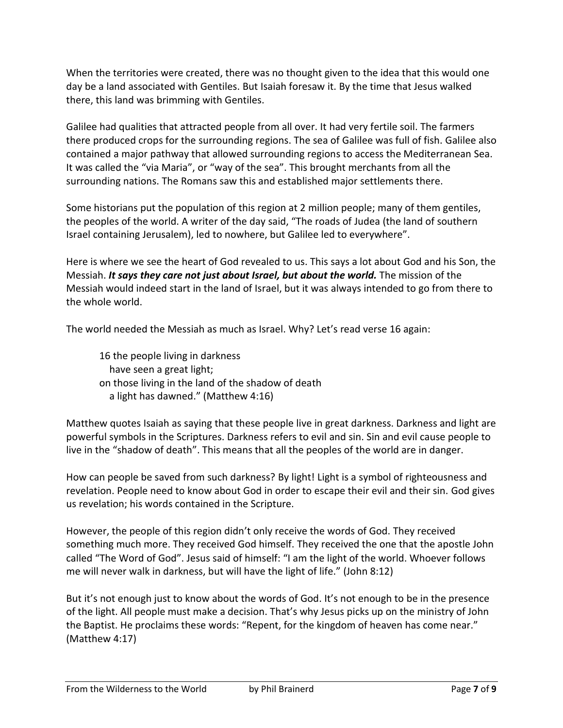When the territories were created, there was no thought given to the idea that this would one day be a land associated with Gentiles. But Isaiah foresaw it. By the time that Jesus walked there, this land was brimming with Gentiles.

Galilee had qualities that attracted people from all over. It had very fertile soil. The farmers there produced crops for the surrounding regions. The sea of Galilee was full of fish. Galilee also contained a major pathway that allowed surrounding regions to access the Mediterranean Sea. It was called the "via Maria", or "way of the sea". This brought merchants from all the surrounding nations. The Romans saw this and established major settlements there.

Some historians put the population of this region at 2 million people; many of them gentiles, the peoples of the world. A writer of the day said, "The roads of Judea (the land of southern Israel containing Jerusalem), led to nowhere, but Galilee led to everywhere".

Here is where we see the heart of God revealed to us. This says a lot about God and his Son, the Messiah. *It says they care not just about Israel, but about the world.* The mission of the Messiah would indeed start in the land of Israel, but it was always intended to go from there to the whole world.

The world needed the Messiah as much as Israel. Why? Let's read verse 16 again:

16 the people living in darkness have seen a great light; on those living in the land of the shadow of death a light has dawned." (Matthew 4:16)

Matthew quotes Isaiah as saying that these people live in great darkness. Darkness and light are powerful symbols in the Scriptures. Darkness refers to evil and sin. Sin and evil cause people to live in the "shadow of death". This means that all the peoples of the world are in danger.

How can people be saved from such darkness? By light! Light is a symbol of righteousness and revelation. People need to know about God in order to escape their evil and their sin. God gives us revelation; his words contained in the Scripture.

However, the people of this region didn't only receive the words of God. They received something much more. They received God himself. They received the one that the apostle John called "The Word of God". Jesus said of himself: "I am the light of the world. Whoever follows me will never walk in darkness, but will have the light of life." (John 8:12)

But it's not enough just to know about the words of God. It's not enough to be in the presence of the light. All people must make a decision. That's why Jesus picks up on the ministry of John the Baptist. He proclaims these words: "Repent, for the kingdom of heaven has come near." (Matthew 4:17)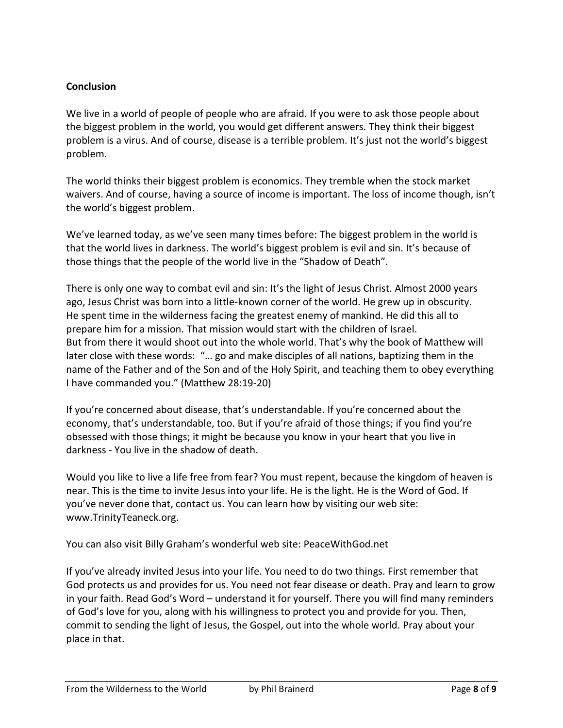### **Conclusion**

We live in a world of people of people who are afraid. If you were to ask those people about the biggest problem in the world, you would get different answers. They think their biggest problem is a virus. And of course, disease is a terrible problem. It's just not the world's biggest problem.

The world thinks their biggest problem is economics. They tremble when the stock market waivers. And of course, having a source of income is important. The loss of income though, isn't the world's biggest problem.

We've learned today, as we've seen many times before: The biggest problem in the world is that the world lives in darkness. The world's biggest problem is evil and sin. It's because of those things that the people of the world live in the "Shadow of Death".

There is only one way to combat evil and sin: It's the light of Jesus Christ. Almost 2000 years ago, Jesus Christ was born into a little-known corner of the world. He grew up in obscurity. He spent time in the wilderness facing the greatest enemy of mankind. He did this all to prepare him for a mission. That mission would start with the children of Israel. But from there it would shoot out into the whole world. That's why the book of Matthew will later close with these words: "… go and make disciples of all nations, baptizing them in the name of the Father and of the Son and of the Holy Spirit, and teaching them to obey everything I have commanded you." (Matthew 28:19-20)

If you're concerned about disease, that's understandable. If you're concerned about the economy, that's understandable, too. But if you're afraid of those things; if you find you're obsessed with those things; it might be because you know in your heart that you live in darkness - You live in the shadow of death.

Would you like to live a life free from fear? You must repent, because the kingdom of heaven is near. This is the time to invite Jesus into your life. He is the light. He is the Word of God. If you've never done that, contact us. You can learn how by visiting our web site: www.TrinityTeaneck.org.

You can also visit Billy Graham's wonderful web site: PeaceWithGod.net

If you've already invited Jesus into your life. You need to do two things. First remember that God protects us and provides for us. You need not fear disease or death. Pray and learn to grow in your faith. Read God's Word – understand it for yourself. There you will find many reminders of God's love for you, along with his willingness to protect you and provide for you. Then, commit to sending the light of Jesus, the Gospel, out into the whole world. Pray about your place in that.